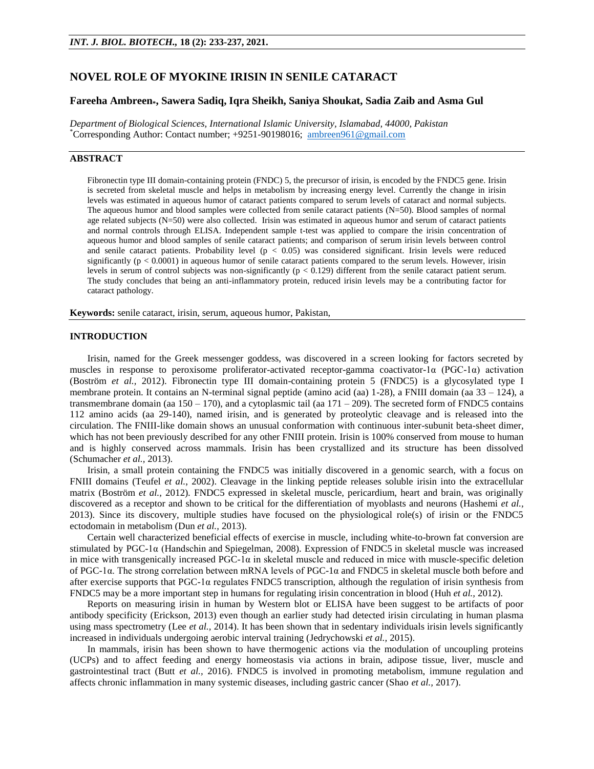# **NOVEL ROLE OF MYOKINE IRISIN IN SENILE CATARACT**

# **Fareeha Ambreen\*, Sawera Sadiq, Iqra Sheikh, Saniya Shoukat, Sadia Zaib and Asma Gul**

*Department of Biological Sciences, International Islamic University, Islamabad, 44000, Pakistan*  \*Corresponding Author: Contact number; +9251-90198016; [ambreen961@gmail.com](mailto:ambreen961@gmail.com)

# **ABSTRACT**

Fibronectin type III domain-containing protein (FNDC) 5, the precursor of irisin, is encoded by the FNDC5 [gene.](https://en.wikipedia.org/wiki/Gene) Irisin is secreted from skeletal muscle and helps in metabolism by increasing energy level. Currently the change in irisin levels was estimated in aqueous humor of cataract patients compared to serum levels of cataract and normal subjects. The aqueous humor and blood samples were collected from senile cataract patients (N=50). Blood samples of normal age related subjects (N=50) were also collected. Irisin was estimated in aqueous humor and serum of cataract patients and normal controls through ELISA. Independent sample t-test was applied to compare the irisin concentration of aqueous humor and blood samples of senile cataract patients; and comparison of serum irisin levels between control and senile cataract patients. Probability level  $(p < 0.05)$  was considered significant. Irisin levels were reduced significantly  $(p < 0.0001)$  in aqueous humor of senile cataract patients compared to the serum levels. However, irisin levels in serum of control subjects was non-significantly  $(p < 0.129)$  different from the senile cataract patient serum. The study concludes that being an anti-inflammatory protein, reduced irisin levels may be a contributing factor for cataract pathology.

**Keywords:** senile cataract, irisin, serum, aqueous humor, Pakistan,

## **INTRODUCTION**

Irisin, named for the Greek messenger goddess, was discovered in a screen looking for factors secreted by muscles in response to peroxisome proliferator-activated receptor-gamma coactivator-1α (PGC-1α) activation (Boström *et al.,* 2012). Fibronectin type III domain-containing protein 5 (FNDC5) is a glycosylated type I membrane protein. It contains an N-terminal signal peptide (amino acid (aa) 1-28), a FNIII domain (aa 33 – 124), a transmembrane domain (aa  $150 - 170$ ), and a cytoplasmic tail (aa  $171 - 209$ ). The secreted form of FNDC5 contains 112 amino acids (aa 29-140), named irisin, and is generated by proteolytic cleavage and is released into the circulation. The FNIII-like domain shows an unusual conformation with continuous inter-subunit beta-sheet dimer, which has not been previously described for any other FNIII protein. Irisin is 100% conserved from mouse to human and is highly conserved across mammals. Irisin has been crystallized and its structure has been dissolved [\(Schumacher](https://www.ncbi.nlm.nih.gov/pmc/articles/PMC5419585/#R45) *et al.,* 2013).

Irisin, a small protein containing the FNDC5 was initially discovered in a genomic search, with a focus on FNIII domains (Teufel *et al.*, 2002). Cleavage in the linking peptide releases soluble irisin into the extracellular matrix (Boström *et al.,* 2012). FNDC5 expressed in skeletal muscle, pericardium, heart and brain, was originally discovered as a receptor and shown to be critical for the differentiation of myoblasts and neurons (Hashemi *et al.,* 2013). Since its discovery, multiple studies have focused on the physiological role(s) of irisin or the FNDC5 ectodomain in metabolism (Dun *et al.,* 2013).

Certain well characterized beneficial effects of exercise in muscle, including white-to-brown fat conversion are stimulated by PGC-1α (Handschin and Spiegelman, 2008). Expression of FNDC5 in skeletal muscle was increased in mice with transgenically increased PGC-1α in skeletal muscle and reduced in mice with muscle-specific deletion of PGC-1α. The strong correlation between mRNA levels of PGC-1α and FNDC5 in skeletal muscle both before and after exercise supports that PGC-1α regulates FNDC5 transcription, although the regulation of irisin synthesis from FNDC5 may be a more important step in humans for regulating irisin concentration in blood (Huh *et al.,* 2012).

Reports on measuring irisin in human by Western blot or ELISA have been suggest to be artifacts of poor antibody specificity (Erickson, 2013) even though an earlier study had detected irisin circulating in human plasma using mass spectrometry (Lee *et al.,* 2014). It has been shown that in sedentary individuals irisin levels significantly increased in individuals undergoing aerobic interval training (Jedrychowski *et al.,* 2015).

In mammals, irisin has been shown to have thermogenic actions via the modulation of uncoupling proteins (UCPs) and to affect feeding and energy homeostasis via actions in brain, adipose tissue, liver, muscle and gastrointestinal tract (Butt *et al.,* 2016). FNDC5 is involved in promoting metabolism, immune regulation and affects chronic inflammation in many systemic diseases, including gastric cancer (Shao *et al.,* 2017).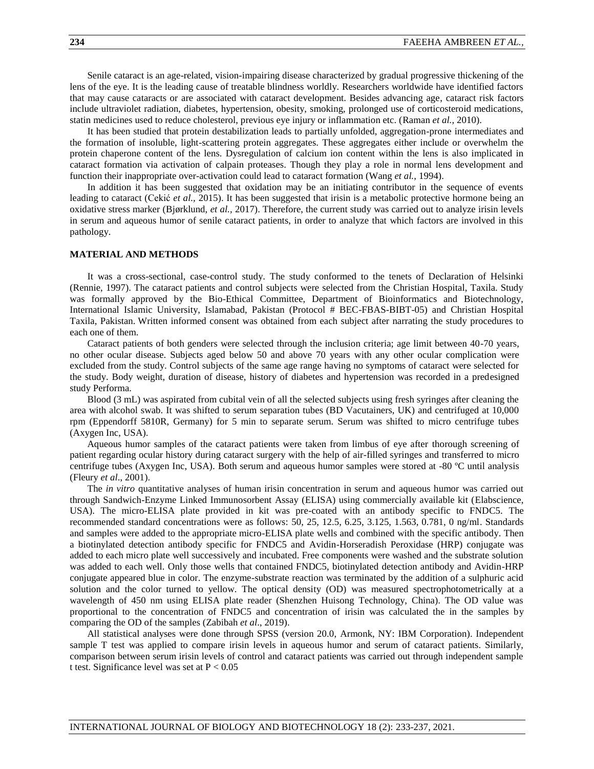Senile cataract is an age-related, vision-impairing disease characterized by gradual progressive thickening of the lens of the eye. It is the leading cause of treatable blindness worldly. Researchers worldwide have identified factors that may cause cataracts or are associated with cataract development. Besides advancing age, cataract risk factors include ultraviolet radiation, diabetes, hypertension, obesity, smoking, prolonged use of corticosteroid medications, statin medicines used to reduce cholesterol, previous eye injury or inflammation etc. (Raman *et al.,* 2010).

It has been studied that protein destabilization leads to partially unfolded, aggregation-prone intermediates and the formation of insoluble, light-scattering protein aggregates. These aggregates either include or overwhelm the protein chaperone content of the lens. Dysregulation of calcium ion content within the lens is also implicated in cataract formation via activation of calpain proteases. Though they play a role in normal lens development and function their inappropriate over-activation could lead to cataract formation (Wang *et al.,* 1994).

In addition it has been suggested that oxidation may be an initiating contributor in the sequence of events leading to cataract (Cekić *et al.,* 2015). It has been suggested that irisin is a metabolic protective hormone being an oxidative stress marker (Bjørklund, *et al.,* 2017). Therefore, the current study was carried out to analyze irisin levels in serum and aqueous humor of senile cataract patients, in order to analyze that which factors are involved in this pathology.

### **MATERIAL AND METHODS**

It was a cross-sectional, case-control study. The study conformed to the tenets of Declaration of Helsinki (Rennie, 1997). The cataract patients and control subjects were selected from the Christian Hospital, Taxila. Study was formally approved by the Bio-Ethical Committee, Department of Bioinformatics and Biotechnology, International Islamic University, Islamabad, Pakistan (Protocol # BEC-FBAS-BIBT-05) and Christian Hospital Taxila, Pakistan. Written informed consent was obtained from each subject after narrating the study procedures to each one of them.

Cataract patients of both genders were selected through the inclusion criteria; age limit between 40-70 years, no other ocular disease. Subjects aged below 50 and above 70 years with any other ocular complication were excluded from the study. Control subjects of the same age range having no symptoms of cataract were selected for the study. Body weight, duration of disease, history of diabetes and hypertension was recorded in a predesigned study Performa.

Blood (3 mL) was aspirated from cubital vein of all the selected subjects using fresh syringes after cleaning the area with alcohol swab. It was shifted to serum separation tubes (BD Vacutainers, UK) and centrifuged at 10,000 rpm (Eppendorff 5810R, Germany) for 5 min to separate serum. Serum was shifted to micro centrifuge tubes (Axygen Inc, USA).

Aqueous humor samples of the cataract patients were taken from limbus of eye after thorough screening of patient regarding ocular history during cataract surgery with the help of air-filled syringes and transferred to micro centrifuge tubes (Axygen Inc, USA). Both serum and aqueous humor samples were stored at -80 ºC until analysis (Fleury *et al*., 2001).

The *in vitro* quantitative analyses of human irisin concentration in serum and aqueous humor was carried out through Sandwich-Enzyme Linked Immunosorbent Assay (ELISA) using commercially available kit (Elabscience, USA). The micro-ELISA plate provided in kit was pre-coated with an antibody specific to FNDC5. The recommended standard concentrations were as follows: 50, 25, 12.5, 6.25, 3.125, 1.563, 0.781, 0 ng/ml. Standards and samples were added to the appropriate micro-ELISA plate wells and combined with the specific antibody. Then a biotinylated detection antibody specific for FNDC5 and Avidin-Horseradish Peroxidase (HRP) conjugate was added to each micro plate well successively and incubated. Free components were washed and the substrate solution was added to each well. Only those wells that contained FNDC5, biotinylated detection antibody and Avidin-HRP conjugate appeared blue in color. The enzyme-substrate reaction was terminated by the addition of a sulphuric acid solution and the color turned to yellow. The optical density (OD) was measured spectrophotometrically at a wavelength of 450 nm using ELISA plate reader (Shenzhen Huisong Technology, China). The OD value was proportional to the concentration of FNDC5 and concentration of irisin was calculated the in the samples by comparing the OD of the samples (Zabibah *et al*., 2019).

All statistical analyses were done through SPSS (version 20.0, Armonk, NY: IBM Corporation). Independent sample T test was applied to compare irisin levels in aqueous humor and serum of cataract patients. Similarly, comparison between serum irisin levels of control and cataract patients was carried out through independent sample t test. Significance level was set at  $P < 0.05$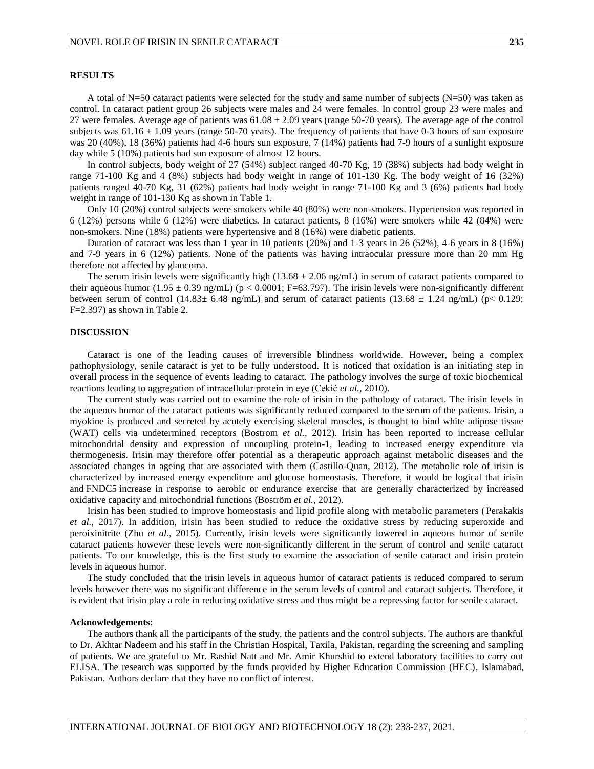### **RESULTS**

A total of N=50 cataract patients were selected for the study and same number of subjects (N=50) was taken as control. In cataract patient group 26 subjects were males and 24 were females. In control group 23 were males and 27 were females. Average age of patients was  $61.08 \pm 2.09$  years (range 50-70 years). The average age of the control subjects was  $61.16 \pm 1.09$  years (range 50-70 years). The frequency of patients that have 0-3 hours of sun exposure was 20 (40%), 18 (36%) patients had 4-6 hours sun exposure, 7 (14%) patients had 7-9 hours of a sunlight exposure day while 5 (10%) patients had sun exposure of almost 12 hours.

In control subjects, body weight of 27 (54%) subject ranged 40-70 Kg, 19 (38%) subjects had body weight in range 71-100 Kg and 4 (8%) subjects had body weight in range of 101-130 Kg. The body weight of 16 (32%) patients ranged 40-70 Kg, 31 (62%) patients had body weight in range 71-100 Kg and 3 (6%) patients had body weight in range of 101-130 Kg as shown in Table 1.

Only 10 (20%) control subjects were smokers while 40 (80%) were non-smokers. Hypertension was reported in 6 (12%) persons while 6 (12%) were diabetics. In cataract patients, 8 (16%) were smokers while 42 (84%) were non-smokers. Nine (18%) patients were hypertensive and 8 (16%) were diabetic patients.

Duration of cataract was less than 1 year in 10 patients (20%) and 1-3 years in 26 (52%), 4-6 years in 8 (16%) and 7-9 years in 6 (12%) patients. None of the patients was having intraocular pressure more than 20 mm Hg therefore not affected by glaucoma.

The serum irisin levels were significantly high ( $13.68 \pm 2.06$  ng/mL) in serum of cataract patients compared to their aqueous humor (1.95  $\pm$  0.39 ng/mL) (p < 0.0001; F=63.797). The irisin levels were non-significantly different between serum of control (14.83 $\pm$  6.48 ng/mL) and serum of cataract patients (13.68  $\pm$  1.24 ng/mL) (p< 0.129; F=2.397) as shown in Table 2.

#### **DISCUSSION**

Cataract is one of the leading causes of irreversible blindness worldwide. However, being a complex pathophysiology, senile cataract is yet to be fully understood. It is noticed that oxidation is an initiating step in overall process in the sequence of events leading to cataract. The pathology involves the surge of toxic biochemical reactions leading to aggregation of intracellular protein in eye (Cekić *et al.,* 2010).

The current study was carried out to examine the role of irisin in the pathology of cataract. The irisin levels in the aqueous humor of the cataract patients was significantly reduced compared to the serum of the patients. Irisin, a myokine is produced and secreted by acutely exercising skeletal muscles, is thought to bind white adipose tissue (WAT) cells via undetermined receptors (Bostrom *et al.,* 2012). Irisin has been reported to increase cellular mitochondrial density and expression of uncoupling protein-1, leading to increased energy expenditure via thermogenesis. Irisin may therefore offer potential as a therapeutic approach against metabolic diseases and the associated changes in ageing that are associated with them (Castillo-Quan, 2012). The metabolic role of irisin is characterized by increased energy expenditure and glucose homeostasis. Therefore, it would be logical that irisin and FNDC5 increase in response to aerobic or endurance exercise that are generally characterized by increased oxidative capacity and mitochondrial functions (Boström *et al.,* 2012).

Irisin has been studied to improve homeostasis and lipid profile along with metabolic parameters (Perakakis *et al.,* 2017). In addition, irisin has been studied to reduce the oxidative stress by reducing superoxide and peroixinitrite (Zhu *et al.,* 2015). Currently, irisin levels were significantly lowered in aqueous humor of senile cataract patients however these levels were non-significantly different in the serum of control and senile cataract patients. To our knowledge, this is the first study to examine the association of senile cataract and irisin protein levels in aqueous humor.

The study concluded that the irisin levels in aqueous humor of cataract patients is reduced compared to serum levels however there was no significant difference in the serum levels of control and cataract subjects. Therefore, it is evident that irisin play a role in reducing oxidative stress and thus might be a repressing factor for senile cataract.

#### **Acknowledgements**:

The authors thank all the participants of the study, the patients and the control subjects. The authors are thankful to Dr. Akhtar Nadeem and his staff in the Christian Hospital, Taxila, Pakistan, regarding the screening and sampling of patients. We are grateful to Mr. Rashid Natt and Mr. Amir Khurshid to extend laboratory facilities to carry out ELISA. The research was supported by the funds provided by Higher Education Commission (HEC), Islamabad, Pakistan. Authors declare that they have no conflict of interest.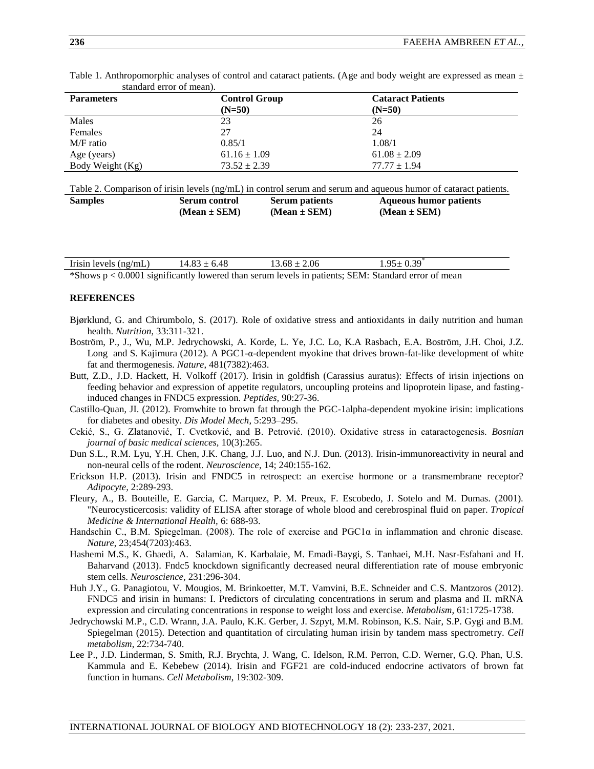| stanuaru cirol of mean). |                      |                          |  |
|--------------------------|----------------------|--------------------------|--|
| <b>Parameters</b>        | <b>Control Group</b> | <b>Cataract Patients</b> |  |
|                          | $(N=50)$             | $(N=50)$                 |  |
| Males                    | 23                   | 26                       |  |
| Females                  | 27                   | 24                       |  |
| M/F ratio                | 0.85/1               | 1.08/1                   |  |
| Age (years)              | $61.16 \pm 1.09$     | $61.08 \pm 2.09$         |  |
| Body Weight (Kg)         | $73.52 \pm 2.39$     | $77.77 \pm 1.94$         |  |

Table 1. Anthropomorphic analyses of control and cataract patients. (Age and body weight are expressed as mean  $\pm$ standard error of mean).

Table 2. Comparison of irisin levels (ng/mL) in control serum and serum and aqueous humor of cataract patients.

| <b>Samples</b> | Serum control    | <b>Serum patients</b> | <b>Aqueous humor patients</b> |
|----------------|------------------|-----------------------|-------------------------------|
|                | $(Mean \pm SEM)$ | $(Mean \pm SEM)$      | $(Mean \pm SEM)$              |

| Irisin levels $(ng/mL)$ | $14.83 \pm 6.48$ | $13.68 \pm 2.06$ | $1.95 \pm 0.39$                                                                                      |  |
|-------------------------|------------------|------------------|------------------------------------------------------------------------------------------------------|--|
|                         |                  |                  | *Shows $p < 0.0001$ significantly lowered than serum levels in patients; SEM: Standard error of mean |  |

#### **REFERENCES**

- Bjørklund, G. and Chirumbolo, S. (2017). Role of oxidative stress and antioxidants in daily nutrition and human health. *Nutrition*, 33:311-321.
- Boström, P., J., Wu, M.P. Jedrychowski, A. Korde, L. Ye, J.C. Lo, K.A Rasbach, E.A. Boström, J.H. Choi, J.Z. Long and S. Kajimura (2012). A PGC1-α-dependent myokine that drives brown-fat-like development of white fat and thermogenesis. *Nature*, 481(7382):463.
- Butt, Z.D., J.D. Hackett, H. Volkoff (2017). Irisin in goldfish (Carassius auratus): Effects of irisin injections on feeding behavior and expression of appetite regulators, uncoupling proteins and lipoprotein lipase, and fastinginduced changes in FNDC5 expression. *Peptides,* 90:27-36.
- Castillo-Quan, JI. (2012). Fromwhite to brown fat through the PGC-1alpha-dependent myokine irisin: implications for diabetes and obesity. *Dis Model Mech*, 5:293–295.
- Cekić, S., G. Zlatanović, T. Cvetković, and B. Petrović. (2010). Oxidative stress in cataractogenesis. *Bosnian journal of basic medical sciences,* 10(3):265.
- Dun S.L., R.M. Lyu, Y.H. Chen, J.K. Chang, J.J. Luo, and N.J. Dun. (2013). Irisin-immunoreactivity in neural and non-neural cells of the rodent. *Neuroscience*, 14; 240:155-162.
- Erickson H.P. (2013). Irisin and FNDC5 in retrospect: an exercise hormone or a transmembrane receptor? *Adipocyte,* 2:289-293.
- Fleury, A., B. Bouteille, E. Garcia, C. Marquez, P. M. Preux, F. Escobedo, J. Sotelo and M. Dumas. (2001). "Neurocysticercosis: validity of ELISA after storage of whole blood and cerebrospinal fluid on paper. *Tropical Medicine & International Health,* 6: 688-93.
- Handschin C., B.M. Spiegelman. (2008). The role of exercise and PGC1α in inflammation and chronic disease. *Nature*, 23;454(7203):463.
- Hashemi M.S., K. Ghaedi, A. Salamian, K. Karbalaie, M. Emadi-Baygi, S. Tanhaei, M.H. Nasr-Esfahani and H. Baharvand (2013). Fndc5 knockdown significantly decreased neural differentiation rate of mouse embryonic stem cells. *Neuroscience,* 231:296-304.
- Huh J.Y., G. Panagiotou, V. Mougios, M. Brinkoetter, M.T. Vamvini, B.E. Schneider and C.S. Mantzoros (2012). FNDC5 and irisin in humans: I. Predictors of circulating concentrations in serum and plasma and II. mRNA expression and circulating concentrations in response to weight loss and exercise. *Metabolism*, 61:1725-1738.
- Jedrychowski M.P., C.D. Wrann, J.A. Paulo, K.K. Gerber, J. Szpyt, M.M. Robinson, K.S. Nair, S.P. Gygi and B.M. Spiegelman (2015). Detection and quantitation of circulating human irisin by tandem mass spectrometry. *Cell metabolism*, 22:734-740.
- Lee P., J.D. Linderman, S. Smith, R.J. Brychta, J. Wang, C. Idelson, R.M. Perron, C.D. Werner, G.Q. Phan, U.S. Kammula and E. Kebebew (2014). Irisin and FGF21 are cold-induced endocrine activators of brown fat function in humans. *Cell Metabolism*, 19:302-309.